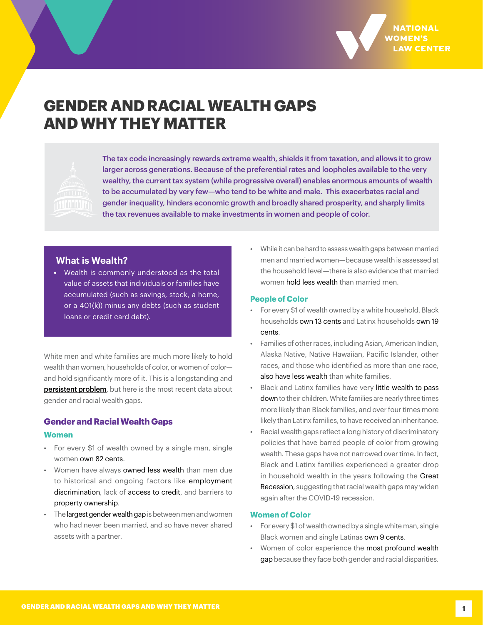

# **GENDER AND RACIAL WEALTH GAPS AND WHY THEY MATTER**



The tax code increasingly rewards extreme wealth, shields it from taxation, and allows it to grow larger across generations. Because of the preferential rates and loopholes available to the very wealthy, the current tax system (while progressive overall) enables enormous amounts of wealth to be accumulated by very few—who tend to be white and male. This exacerbates racial and gender inequality, hinders economic growth and broadly shared prosperity, and sharply limits the tax revenues available to make investments in women and people of color.

## **What is Wealth?**

*•* Wealth is commonly understood as the total value of assets that individuals or families have accumulated (such as savings, stock, a home, or a 401(k)) minus any debts (such as student loans or credit card debt).

White men and white families are much more likely to hold wealth than women, households of color, or women of color and hold significantly more of it. This is a longstanding and [persistent problem](https://nwlc.org/resource/how-the-tax-code-helps-the-wealthy-prosper-while-leaving-women-and-people-of-color-behind/), but here is the most recent data about gender and racial wealth gaps.

## **Gender and Racial Wealth Gaps**

#### **Women**

- For every \$1 of wealth owned by a single man, single women [own 82 cents.](https://live-future-of-building-wealth.pantheonsite.io/wp-content/uploads/2021/09/Sec1-Ch5-Chang-Kent-McCulloch.pdf)
- Women have always [owned less wealth](https://www.tandfonline.com/doi/abs/10.1080/13545700500508056) than men due to historical and ongoing factors like [employment](https://nwlc.org/wp-content/uploads/2015/08/final_nwlc_equal_pay_report.pdf)  [discrimination,](https://nwlc.org/wp-content/uploads/2015/08/final_nwlc_equal_pay_report.pdf) lack of [access to credit,](https://brooklynworks.brooklaw.edu/cgi/viewcontent.cgi?article=1209&context=bjcfcl) and barriers to [property ownership](https://www.cambridge.org/core/journals/social-science-history/article/narrowing-of-the-gender-wealth-gap-across-the-nineteenthcentury-united-states/531DD79AF39B315CA70305C5BCC72C9B).
- The [largest gender wealth gap](https://www.stlouisfed.org/en/publications/in-the-balance/2021/gender-wealth-gap-families-women-lower-wealth) is between men and women who had never been married, and so have never shared assets with a partner.

• While it can be hard to assess wealth gaps between married men and married women—because wealth is assessed at the household level—there is also evidence that married women [hold less wealth](http://paa2019.populationassociation.org/uploads/191255) than married men.

#### **People of Color**

- For every \$1 of wealth owned by a white household, Black households [own 13 cents](http://paa2019.populationassociation.org/uploads/191255) and Latinx households [own 19](https://www.federalreserve.gov/econres/notes/feds-notes/disparities-in-wealth-by-race-and-ethnicity-in-the-2019-survey-of-consumer-finances-20200928.htm) [cents.](https://www.federalreserve.gov/econres/notes/feds-notes/disparities-in-wealth-by-race-and-ethnicity-in-the-2019-survey-of-consumer-finances-20200928.htm)
- Families of other races, including Asian, American Indian, Alaska Native, Native Hawaiian, Pacific Islander, other races, and those who identified as more than one race, [also have less wealth](https://tribalbusinessnews.com/sections/economic-development/13644-census-fails-to-include-native-american-data-in-new-poverty-income-and-health-insurance-reports) than white families.
- Black and Latinx families have very [little wealth to pass](https://www.penguinrandomhouse.com/books/591671/the-whiteness-of-wealth-by-dorothy-a-brown/) [down](https://www.penguinrandomhouse.com/books/591671/the-whiteness-of-wealth-by-dorothy-a-brown/) to their children. White families are nearly three times more likely than Black families, and over four times more likely than Latinx families, to have received an inheritance.
- Racial wealth gaps reflect a long history of discriminatory policies that have barred people of color from growing wealth. These gaps have not narrowed over time. In fact, Black and Latinx families experienced a greater drop in household wealth in the years following the [Great](https://www.federalreserve.gov/econres/notes/feds-notes/disparities-in-wealth-by-race-and-ethnicity-in-the-2019-survey-of-consumer-finances-20200928.htm) [Recession,](https://www.federalreserve.gov/econres/notes/feds-notes/disparities-in-wealth-by-race-and-ethnicity-in-the-2019-survey-of-consumer-finances-20200928.htm) suggesting that racial wealth gaps may widen again after the COVID-19 recession.

#### **Women of Color**

- For every \$1 of wealth owned by a single white man, single Black women and single Latinas [own 9 cents.](https://live-future-of-building-wealth.pantheonsite.io/wp-content/uploads/2021/09/Sec1-Ch5-Chang-Kent-McCulloch.pdf)
- Women of color experience the [most profound wealth](https://assetfunders.org/wp-content/uploads/Women_Wealth_-Insights_Grantmakers_brief_15.pdf) [gap](https://assetfunders.org/wp-content/uploads/Women_Wealth_-Insights_Grantmakers_brief_15.pdf) because they face both gender and racial disparities.